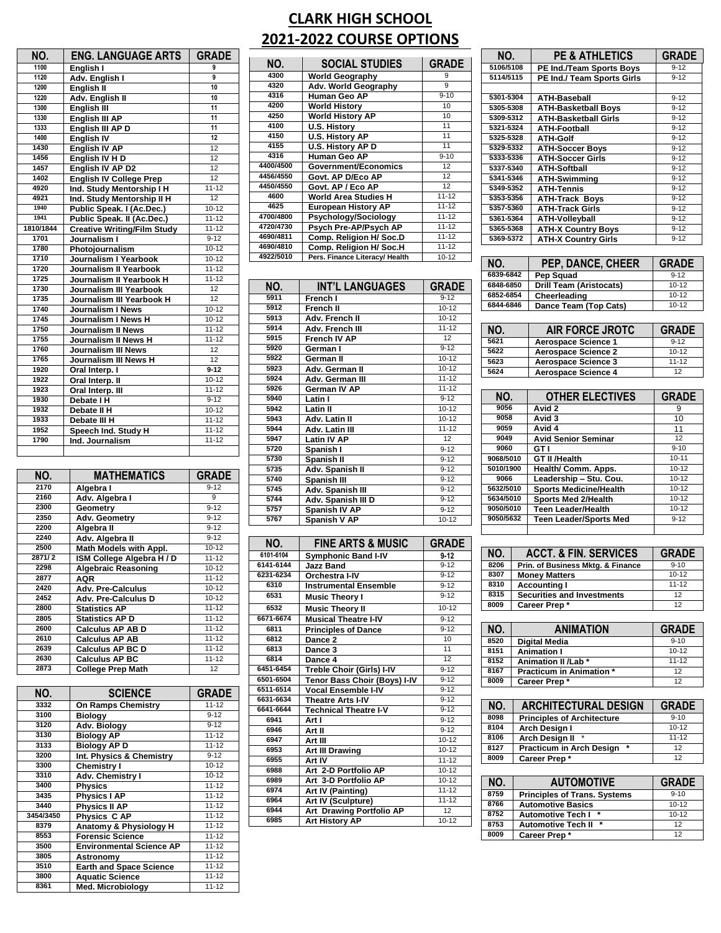| NO.          | <b>ENG. LANGUAGE ARTS</b>          | <b>GRADE</b>         |
|--------------|------------------------------------|----------------------|
| 1100         | English I                          | $\overline{9}$       |
| 1120         | Adv. English I                     | g                    |
| 1200         | English II                         | 10                   |
| 1220         | Adv. English II                    | 10                   |
| 1300         | English III                        | 11                   |
| 1330         | English III AP                     | 11                   |
| 1333         | English III AP D                   | 11                   |
| 1400         | <b>English IV</b>                  | 12                   |
| 1430         | <b>English IV AP</b>               | 12                   |
| 1456         | English IV HD                      | 12                   |
| 1457         | English IV AP D2                   | 12                   |
| 1402         | <b>English IV College Prep</b>     | 12                   |
| 4920         | Ind. Study Mentorship I H          | $11 - 12$            |
| 4921         | Ind. Study Mentorship II H         | 12                   |
| 1940         | Public Speak. I (Ac.Dec.)          | $10 - 12$            |
| 1941         | Public Speak. II (Ac.Dec.)         | $11 - 12$            |
| 1810/1844    | <b>Creative Writing/Film Study</b> | $11 - 12$            |
| 1701         | Journalism I                       | $9 - 12$             |
| 1780         | Photojournalism                    | $10 - 12$            |
| 1710         | Journalism I Yearbook              | $10 - 12$            |
| 1720         | Journalism II Yearbook             | $11 - 12$            |
| 1725         | Journalism II Yearbook H           | $11 - 12$            |
| 1730         | <b>Journalism III Yearbook</b>     | 12                   |
| 1735         | Journalism III Yearbook H          | 12                   |
| 1740         | <b>Journalism I News</b>           | $10 - 12$            |
| 1745         | <b>Journalism I News H</b>         | $10 - 12$            |
| 1750         | <b>Journalism II News</b>          | $11 - 12$            |
| 1755         | Journalism II News H               | $11 - 12$            |
| 1760         | <b>Journalism III News</b>         | 12                   |
| 1765         | Journalism III News H              | 12                   |
| 1920         | Oral Interp. I                     | $9 - 12$             |
| 1922         | Oral Interp. II                    | $10 - 12$            |
| 1923         | Oral Interp. III                   | $11 - 12$            |
| 1930         | Debate I H                         | $9 - 12$             |
| 1932<br>1933 | Debate II H                        | $10-12$<br>$11 - 12$ |
|              | Debate III H                       |                      |
| 1952<br>1790 | Speech Ind. Study H                | $11 - 12$            |
|              | Ind. Journalism                    | $11 - 12$            |
|              |                                    |                      |
| NO.          | <b>MATHEMATICS</b>                 | <b>GRADE</b>         |
| 2170         | Algebra I                          | $9 - 12$             |
| 2160         | Adv. Algebra I                     | 9                    |
| 2300         | Geometry                           | $9 - 12$             |

| 2300   | Geometry                   | $9 - 12$  |
|--------|----------------------------|-----------|
| 2350   | Adv. Geometry              | $9 - 12$  |
| 2200   | Algebra II                 | $9-12$    |
| 2240   | Adv. Algebra II            | $9 - 12$  |
| 2500   | Math Models with Appl.     | $10 - 12$ |
| 2871/2 | ISM College Algebra H / D  | $11 - 12$ |
| 2298   | <b>Algebraic Reasoning</b> | $10 - 12$ |
| 2877   | <b>AQR</b>                 | $11 - 12$ |
| 2420   | <b>Adv. Pre-Calculus</b>   | $10 - 12$ |
| 2452   | <b>Adv. Pre-Calculus D</b> | $10-12$   |
| 2800   | <b>Statistics AP</b>       | $11 - 12$ |
| 2805   | <b>Statistics AP D</b>     | $11 - 12$ |
| 2600   | <b>Calculus AP AB D</b>    | $11 - 12$ |
| 2610   | <b>Calculus AP AB</b>      | $11 - 12$ |
| 2639   | <b>Calculus AP BC D</b>    | $11 - 12$ |
| 2630   | <b>Calculus AP BC</b>      | $11 - 12$ |
| 2873   | <b>College Prep Math</b>   | 12        |

| NO.       | <b>SCIENCE</b>                  | <b>GRADE</b> |
|-----------|---------------------------------|--------------|
| 3332      | <b>On Ramps Chemistry</b>       | $11 - 12$    |
| 3100      | <b>Biology</b>                  | $9 - 12$     |
| 3120      | Adv. Biology                    | $9-12$       |
| 3130      | <b>Biology AP</b>               | $11 - 12$    |
| 3133      | <b>Biology AP D</b>             | $11 - 12$    |
| 3200      | Int. Physics & Chemistry        | $9 - 12$     |
| 3300      | <b>Chemistry I</b>              | $10 - 12$    |
| 3310      | Adv. Chemistry I                | $10-12$      |
| 3400      | <b>Physics</b>                  | $11 - 12$    |
| 3435      | <b>Physics I AP</b>             | $11 - 12$    |
| 3440      | <b>Physics II AP</b>            | $11 - 12$    |
| 3454/3450 | Physics CAP                     | $11 - 12$    |
| 8379      | Anatomy & Physiology H          | $11 - 12$    |
| 8553      | <b>Forensic Science</b>         | $11 - 12$    |
| 3500      | <b>Environmental Science AP</b> | $11 - 12$    |
| 3805      | Astronomy                       | $11 - 12$    |
| 3510      | <b>Earth and Space Science</b>  | $11 - 12$    |
| 3800      | <b>Aquatic Science</b>          | $11 - 12$    |
| 8361      | Med. Microbiology               | $11 - 12$    |

## **CLARK HIGH SCHOOL 2021-2022 COURSE OPTIONS**

| NO.       | <b>SOCIAL STUDIES</b>          | <b>GRADE</b> |
|-----------|--------------------------------|--------------|
| 4300      | <b>World Geography</b>         | 9            |
| 4320      | Adv. World Geography           | 9            |
| 4316      | Human Geo AP                   | $9 - 10$     |
| 4200      | <b>World History</b>           | 10           |
| 4250      | <b>World History AP</b>        | 10           |
| 4100      | <b>U.S. History</b>            | 11           |
| 4150      | <b>U.S. History AP</b>         | 11           |
| 4155      | <b>U.S. History AP D</b>       | 11           |
| 4316      | Human Geo AP                   | $9 - 10$     |
| 4400/4500 | Government/Economics           | 12           |
| 4456/4550 | Govt. AP D/Eco AP              | 12           |
| 4450/4550 | Govt. AP / Eco AP              | 12           |
| 4600      | World Area Studies H           | $11 - 12$    |
| 4625      | <b>European History AP</b>     | $11 - 12$    |
| 4700/4800 | Psychology/Sociology           | $11 - 12$    |
| 4720/4730 | Psych Pre-AP/Psych AP          | $11 - 12$    |
| 4690/4811 | Comp. Religion H/ Soc.D        | $11 - 12$    |
| 4690/4810 | Comp. Religion H/ Soc.H        | $11 - 12$    |
| 4922/5010 | Pers. Finance Literacy/ Health | $10 - 12$    |

| NO.  | <b>INT'L LANGUAGES</b> | <b>GRADE</b> |
|------|------------------------|--------------|
| 5911 | French I               | $9 - 12$     |
| 5912 | French II              | $10 - 12$    |
| 5913 | Adv. French II         | $10 - 12$    |
| 5914 | Adv. French III        | $11 - 12$    |
| 5915 | French IV AP           | 12           |
| 5920 | German I               | $9-12$       |
| 5922 | German II              | $10 - 12$    |
| 5923 | Adv. German II         | $10 - 12$    |
| 5924 | Adv. German III        | $11 - 12$    |
| 5926 | German IV AP           | $11 - 12$    |
| 5940 | Latin I                | $9-12$       |
| 5942 | Latin II               | $10 - 12$    |
| 5943 | Adv. Latin II          | $10 - 12$    |
| 5944 | Adv. Latin III         | $11 - 12$    |
| 5947 | <b>Latin IV AP</b>     | 12           |
| 5720 | Spanish I              | $9 - 12$     |
| 5730 | Spanish II             | $9 - 12$     |
| 5735 | Adv. Spanish II        | $9 - 12$     |
| 5740 | Spanish III            | $9 - 12$     |
| 5745 | Adv. Spanish III       | $9 - 12$     |
| 5744 | Adv. Spanish III D     | $9 - 12$     |
| 5757 | Spanish IV AP          | $9 - 12$     |
| 5767 | Spanish V AP           | $10 - 12$    |

| NO.       | <b>FINE ARTS &amp; MUSIC</b> | <b>GRADE</b>        |
|-----------|------------------------------|---------------------|
| 6101-6104 | <b>Symphonic Band I-IV</b>   | $9 - 12$            |
| 6141-6144 | <b>Jazz Band</b>             | $9 - 12$            |
| 6231-6234 | Orchestra I-IV               | $9 - 12$            |
| 6310      | <b>Instrumental Ensemble</b> | $9 - 12$            |
| 6531      | <b>Music Theory I</b>        | $9 - 12$            |
| 6532      | <b>Music Theory II</b>       | $10 - 12$           |
| 6671-6674 | <b>Musical Theatre I-IV</b>  | $9 - 12$            |
| 6811      | <b>Principles of Dance</b>   | $\overline{9} - 12$ |
| 6812      | Dance 2                      | 10                  |
| 6813      | Dance 3                      | $\overline{11}$     |
| 6814      | Dance 4                      | 12                  |
| 6451-6454 | Treble Choir (Girls) I-IV    | $9 - 12$            |
| 6501-6504 | Tenor Bass Choir (Boys) I-IV | $9 - 12$            |
| 6511-6514 | <b>Vocal Ensemble I-IV</b>   | $9 - 12$            |
| 6631-6634 | <b>Theatre Arts I-IV</b>     | $9 - 12$            |
| 6641-6644 | <b>Technical Theatre I-V</b> | $9 - 12$            |
| 6941      | Art I                        | $9 - 12$            |
| 6946      | Art II                       | $9 - 12$            |
| 6947      | Art III                      | $10 - 12$           |
| 6953      | <b>Art III Drawing</b>       | $10 - 12$           |
| 6955      | Art IV                       | $11 - 12$           |
| 6988      | Art 2-D Portfolio AP         | $10-12$             |
| 6989      | Art 3-D Portfolio AP         | $10 - 12$           |
| 6974      | Art IV (Painting)            | $11 - 12$           |
| 6964      | Art IV (Sculpture)           | $11 - 12$           |
| 6944      | Art Drawing Portfolio AP     | 12                  |
| 6985      | <b>Art History AP</b>        | $10 - 12$           |
|           |                              |                     |

| NO.       | <b>PE &amp; ATHLETICS</b>   | <b>GRADE</b> |
|-----------|-----------------------------|--------------|
| 5106/5108 | PE Ind./Team Sports Boys    | $9 - 12$     |
| 5114/5115 | PE Ind./ Team Sports Girls  | $9 - 12$     |
|           |                             |              |
| 5301-5304 | ATH-Baseball                | $9 - 12$     |
| 5305-5308 | <b>ATH-Basketball Boys</b>  | $9 - 12$     |
| 5309-5312 | <b>ATH-Basketball Girls</b> | $9 - 12$     |
| 5321-5324 | <b>ATH-Football</b>         | $9 - 12$     |
| 5325-5328 | <b>ATH-Golf</b>             | $9 - 12$     |
| 5329-5332 | <b>ATH-Soccer Boys</b>      | $9 - 12$     |
| 5333-5336 | <b>ATH-Soccer Girls</b>     | $9 - 12$     |
| 5337-5340 | ATH-Softball                | $9 - 12$     |
| 5341-5346 | <b>ATH-Swimming</b>         | $9 - 12$     |
| 5349-5352 | <b>ATH-Tennis</b>           | $9 - 12$     |
| 5353-5356 | <b>ATH-Track Boys</b>       | $9 - 12$     |
| 5357-5360 | <b>ATH-Track Girls</b>      | $9 - 12$     |
| 5361-5364 | <b>ATH-Volleyball</b>       | $9 - 12$     |
| 5365-5368 | <b>ATH-X Country Boys</b>   | $9 - 12$     |
| 5369-5372 | <b>ATH-X Country Girls</b>  | $9 - 12$     |

| NO.       | PEP, DANCE, CHEER       | <b>GRADE</b> |
|-----------|-------------------------|--------------|
| 6839-6842 | Pep Squad               | $9 - 12$     |
| 6848-6850 | Drill Team (Aristocats) | $10 - 12$    |
| 6852-6854 | Cheerleading            | $10 - 12$    |
| 6844-6846 | Dance Team (Top Cats)   | $10 - 12$    |

| NO.  | <b>AIR FORCE JROTC</b>     | <b>GRADE</b> |
|------|----------------------------|--------------|
| 5621 | <b>Aerospace Science 1</b> | $9 - 12$     |
| 5622 | <b>Aerospace Science 2</b> | $10 - 12$    |
| 5623 | <b>Aerospace Science 3</b> | $11 - 12$    |
| 5624 | <b>Aerospace Science 4</b> | 12           |

| NO.       | <b>OTHER ELECTIVES</b>        | <b>GRADE</b> |
|-----------|-------------------------------|--------------|
| 9056      | Avid 2                        | 9            |
| 9058      | Avid 3                        | 10           |
| 9059      | Avid 4                        | 11           |
| 9049      | <b>Avid Senior Seminar</b>    | 12           |
| 9060      | <b>GTI</b>                    | $9 - 10$     |
| 9068/5010 | <b>GT II /Health</b>          | $10 - 11$    |
| 5010/1900 | Health/ Comm. Apps.           | $10 - 12$    |
| 9066      | Leadership - Stu. Cou.        | $10 - 12$    |
| 5632/5010 | <b>Sports Medicine/Health</b> | $10 - 12$    |
| 5634/5010 | Sports Med 2/Health           | $10 - 12$    |
| 9050/5010 | <b>Teen Leader/Health</b>     | $10 - 12$    |
| 9050/5632 | <b>Teen Leader/Sports Med</b> | $9 - 12$     |
|           |                               |              |

| NO.  | <b>ACCT. &amp; FIN. SERVICES</b>  | <b>GRADE</b> |
|------|-----------------------------------|--------------|
| 8206 | Prin. of Business Mktg. & Finance | $9 - 10$     |
| 8307 | <b>Money Matters</b>              | $10 - 12$    |
| 8310 | <b>Accounting I</b>               | $11 - 12$    |
| 8315 | <b>Securities and Investments</b> | 12           |
| 8009 | Career Prep*                      | 12           |

| NO.  | <b>ANIMATION</b>                | <b>GRADE</b> |
|------|---------------------------------|--------------|
| 8520 | <b>Digital Media</b>            | $9 - 10$     |
| 8151 | <b>Animation I</b>              | $10 - 12$    |
| 8152 | Animation II / Lab *            | $11 - 12$    |
| 8167 | <b>Practicum in Animation *</b> | 12           |
| 8009 | Career Prep*                    | 12           |

| NO.  | <b>ARCHITECTURAL DESIGN</b>       | <b>GRADE</b> |
|------|-----------------------------------|--------------|
| 8098 | <b>Principles of Architecture</b> | $9 - 10$     |
| 8104 | Arch Design I                     | $10 - 12$    |
| 8106 | <b>Arch Design II</b><br>$\star$  | $11 - 12$    |
| 8127 | Practicum in Arch Design *        | 12           |
| 8009 | Career Prep*                      | 12           |

| NO.  | <b>AUTOMOTIVE</b>                    | <b>GRADE</b> |
|------|--------------------------------------|--------------|
| 8759 | <b>Principles of Trans. Systems</b>  | $9 - 10$     |
| 8766 | <b>Automotive Basics</b>             | $10 - 12$    |
| 8752 | <b>Automotive Tech I</b><br>÷        | $10 - 12$    |
| 8753 | <b>Automotive Tech II</b><br>$\star$ | 12           |
| 8009 | Career Prep*                         | 12           |